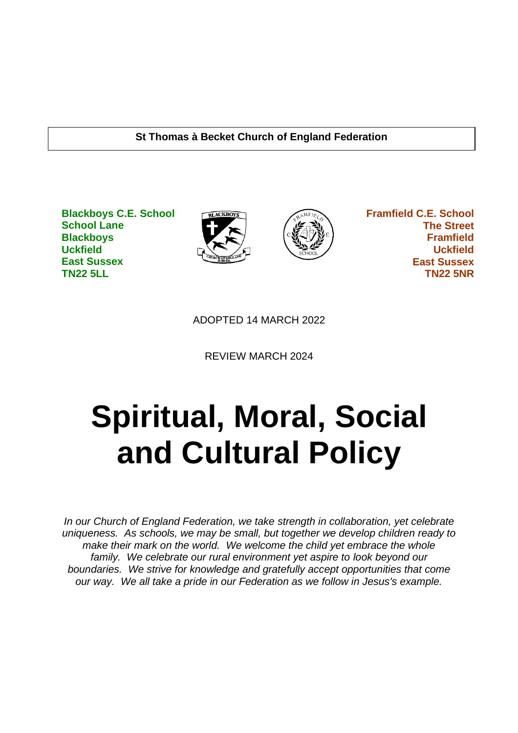## **St Thomas à Becket Church of England Federation**

**Blackboys C.E. School School Lane Blackboys Uckfield East Sussex TN22 5LL**





 **Framfield C.E. School The Street Framfield Uckfield East Sussex TN22 5NR**

ADOPTED 14 MARCH 2022

REVIEW MARCH 2024

# **Spiritual, Moral, Social and Cultural Policy**

*In our Church of England Federation, we take strength in collaboration, yet celebrate uniqueness. As schools, we may be small, but together we develop children ready to make their mark on the world. We welcome the child yet embrace the whole family. We celebrate our rural environment yet aspire to look beyond our boundaries. We strive for knowledge and gratefully accept opportunities that come our way. We all take a pride in our Federation as we follow in Jesus's example.*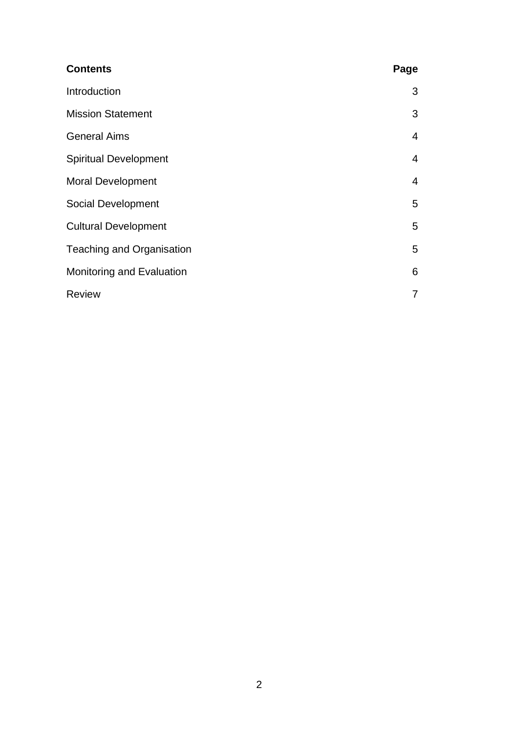| <b>Contents</b>                  | Page           |
|----------------------------------|----------------|
| Introduction                     | 3              |
| <b>Mission Statement</b>         | 3              |
| <b>General Aims</b>              | $\overline{4}$ |
| <b>Spiritual Development</b>     | 4              |
| <b>Moral Development</b>         | $\overline{4}$ |
| Social Development               | 5              |
| <b>Cultural Development</b>      | 5              |
| <b>Teaching and Organisation</b> | 5              |
| Monitoring and Evaluation        | 6              |
| <b>Review</b>                    | 7              |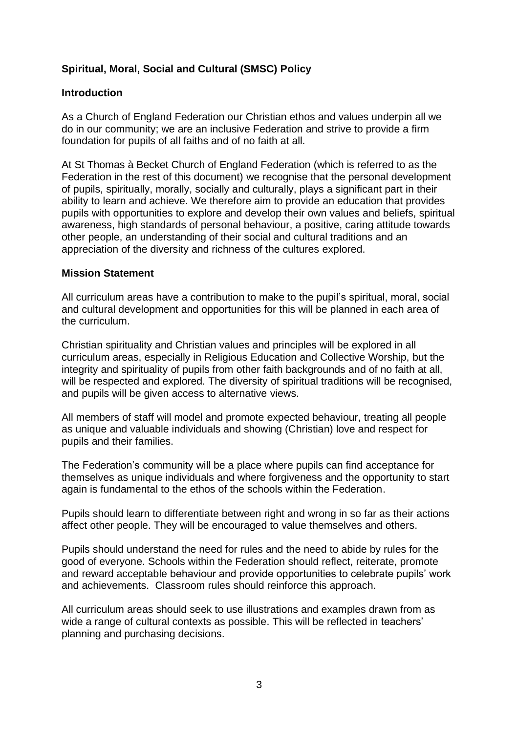# **Spiritual, Moral, Social and Cultural (SMSC) Policy**

## **Introduction**

As a Church of England Federation our Christian ethos and values underpin all we do in our community; we are an inclusive Federation and strive to provide a firm foundation for pupils of all faiths and of no faith at all.

At St Thomas à Becket Church of England Federation (which is referred to as the Federation in the rest of this document) we recognise that the personal development of pupils, spiritually, morally, socially and culturally, plays a significant part in their ability to learn and achieve. We therefore aim to provide an education that provides pupils with opportunities to explore and develop their own values and beliefs, spiritual awareness, high standards of personal behaviour, a positive, caring attitude towards other people, an understanding of their social and cultural traditions and an appreciation of the diversity and richness of the cultures explored.

## **Mission Statement**

All curriculum areas have a contribution to make to the pupil's spiritual, moral, social and cultural development and opportunities for this will be planned in each area of the curriculum.

Christian spirituality and Christian values and principles will be explored in all curriculum areas, especially in Religious Education and Collective Worship, but the integrity and spirituality of pupils from other faith backgrounds and of no faith at all, will be respected and explored. The diversity of spiritual traditions will be recognised, and pupils will be given access to alternative views.

All members of staff will model and promote expected behaviour, treating all people as unique and valuable individuals and showing (Christian) love and respect for pupils and their families.

The Federation's community will be a place where pupils can find acceptance for themselves as unique individuals and where forgiveness and the opportunity to start again is fundamental to the ethos of the schools within the Federation.

Pupils should learn to differentiate between right and wrong in so far as their actions affect other people. They will be encouraged to value themselves and others.

Pupils should understand the need for rules and the need to abide by rules for the good of everyone. Schools within the Federation should reflect, reiterate, promote and reward acceptable behaviour and provide opportunities to celebrate pupils' work and achievements. Classroom rules should reinforce this approach.

All curriculum areas should seek to use illustrations and examples drawn from as wide a range of cultural contexts as possible. This will be reflected in teachers' planning and purchasing decisions.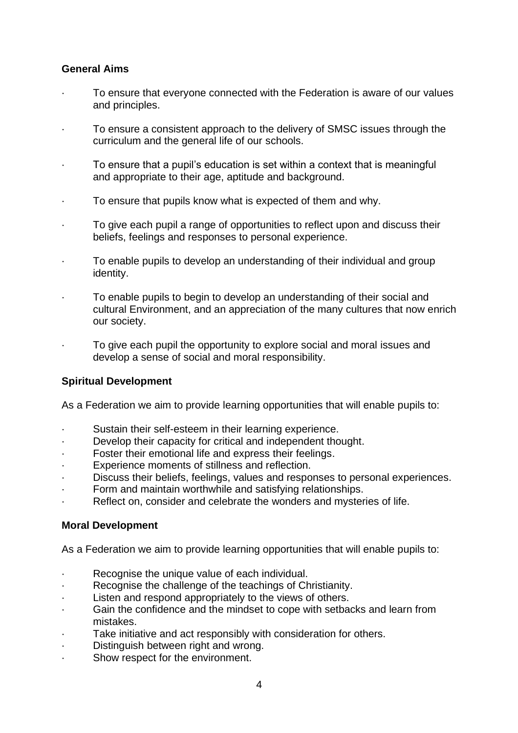## **General Aims**

- · To ensure that everyone connected with the Federation is aware of our values and principles.
- To ensure a consistent approach to the delivery of SMSC issues through the curriculum and the general life of our schools.
- · To ensure that a pupil's education is set within a context that is meaningful and appropriate to their age, aptitude and background.
- To ensure that pupils know what is expected of them and why.
- · To give each pupil a range of opportunities to reflect upon and discuss their beliefs, feelings and responses to personal experience.
- To enable pupils to develop an understanding of their individual and group identity.
- To enable pupils to begin to develop an understanding of their social and cultural Environment, and an appreciation of the many cultures that now enrich our society.
- To give each pupil the opportunity to explore social and moral issues and develop a sense of social and moral responsibility.

## **Spiritual Development**

As a Federation we aim to provide learning opportunities that will enable pupils to:

- Sustain their self-esteem in their learning experience.
- · Develop their capacity for critical and independent thought.
- Foster their emotional life and express their feelings.
- · Experience moments of stillness and reflection.
- Discuss their beliefs, feelings, values and responses to personal experiences.
- Form and maintain worthwhile and satisfying relationships.
- Reflect on, consider and celebrate the wonders and mysteries of life.

### **Moral Development**

As a Federation we aim to provide learning opportunities that will enable pupils to:

- · Recognise the unique value of each individual.
- Recognise the challenge of the teachings of Christianity.
- · Listen and respond appropriately to the views of others.
- Gain the confidence and the mindset to cope with setbacks and learn from mistakes.
- Take initiative and act responsibly with consideration for others.
- Distinguish between right and wrong.
- Show respect for the environment.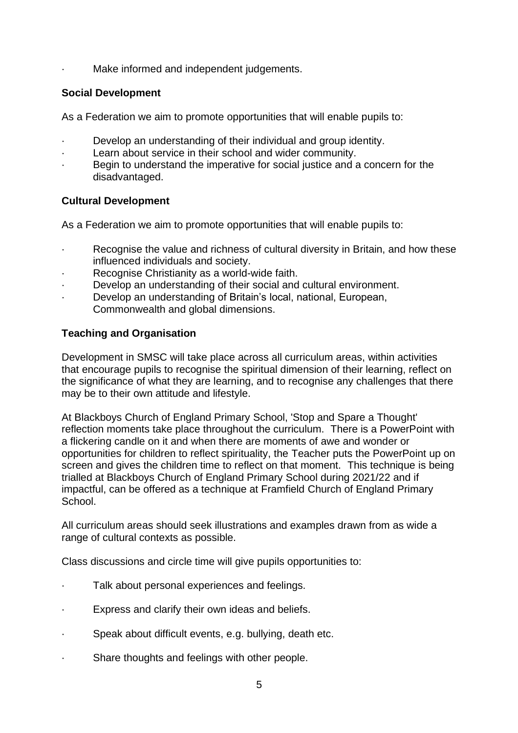Make informed and independent judgements.

## **Social Development**

As a Federation we aim to promote opportunities that will enable pupils to:

- Develop an understanding of their individual and group identity.
- · Learn about service in their school and wider community.
- Begin to understand the imperative for social justice and a concern for the disadvantaged.

## **Cultural Development**

As a Federation we aim to promote opportunities that will enable pupils to:

- Recognise the value and richness of cultural diversity in Britain, and how these influenced individuals and society.
- Recognise Christianity as a world-wide faith.
- Develop an understanding of their social and cultural environment.
- Develop an understanding of Britain's local, national, European, Commonwealth and global dimensions.

## **Teaching and Organisation**

Development in SMSC will take place across all curriculum areas, within activities that encourage pupils to recognise the spiritual dimension of their learning, reflect on the significance of what they are learning, and to recognise any challenges that there may be to their own attitude and lifestyle.

At Blackboys Church of England Primary School, 'Stop and Spare a Thought' reflection moments take place throughout the curriculum. There is a PowerPoint with a flickering candle on it and when there are moments of awe and wonder or opportunities for children to reflect spirituality, the Teacher puts the PowerPoint up on screen and gives the children time to reflect on that moment. This technique is being trialled at Blackboys Church of England Primary School during 2021/22 and if impactful, can be offered as a technique at Framfield Church of England Primary School.

All curriculum areas should seek illustrations and examples drawn from as wide a range of cultural contexts as possible.

Class discussions and circle time will give pupils opportunities to:

- Talk about personal experiences and feelings.
- Express and clarify their own ideas and beliefs.
- · Speak about difficult events, e.g. bullying, death etc.
- Share thoughts and feelings with other people.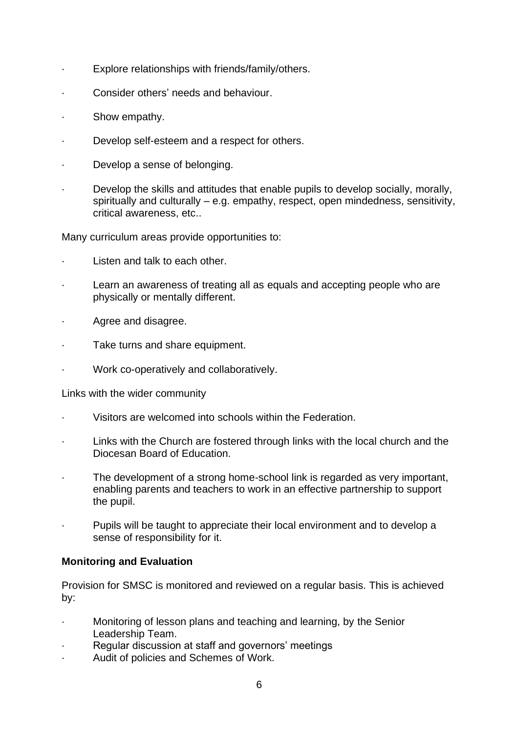- Explore relationships with friends/family/others.
- · Consider others' needs and behaviour.
- Show empathy.
- · Develop self-esteem and a respect for others.
- Develop a sense of belonging.
- Develop the skills and attitudes that enable pupils to develop socially, morally, spiritually and culturally – e.g. empathy, respect, open mindedness, sensitivity, critical awareness, etc..

Many curriculum areas provide opportunities to:

- Listen and talk to each other.
- Learn an awareness of treating all as equals and accepting people who are physically or mentally different.
- Agree and disagree.
- Take turns and share equipment.
- · Work co-operatively and collaboratively.

#### Links with the wider community

- Visitors are welcomed into schools within the Federation.
- Links with the Church are fostered through links with the local church and the Diocesan Board of Education.
- The development of a strong home-school link is regarded as very important, enabling parents and teachers to work in an effective partnership to support the pupil.
- Pupils will be taught to appreciate their local environment and to develop a sense of responsibility for it.

### **Monitoring and Evaluation**

Provision for SMSC is monitored and reviewed on a regular basis. This is achieved by:

- · Monitoring of lesson plans and teaching and learning, by the Senior Leadership Team.
- Regular discussion at staff and governors' meetings
- Audit of policies and Schemes of Work.